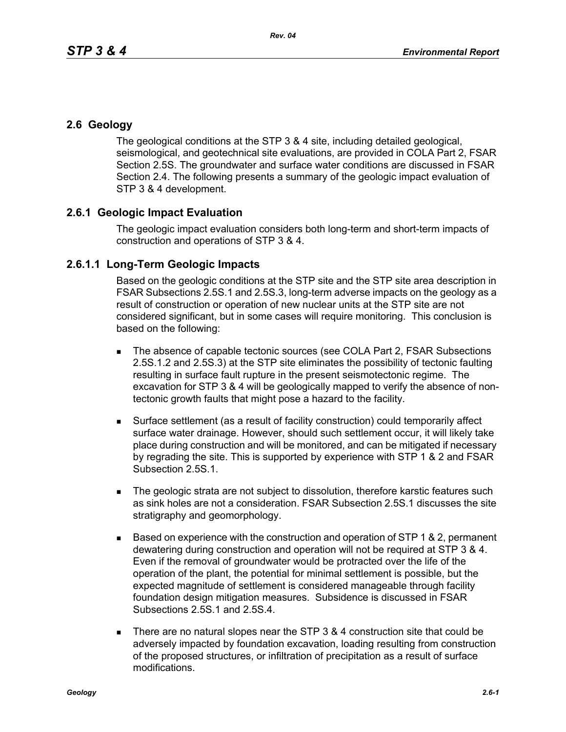## **2.6 Geology**

The geological conditions at the STP 3 & 4 site, including detailed geological, seismological, and geotechnical site evaluations, are provided in COLA Part 2, FSAR Section 2.5S. The groundwater and surface water conditions are discussed in FSAR Section 2.4. The following presents a summary of the geologic impact evaluation of STP 3 & 4 development.

## **2.6.1 Geologic Impact Evaluation**

The geologic impact evaluation considers both long-term and short-term impacts of construction and operations of STP 3 & 4.

## **2.6.1.1 Long-Term Geologic Impacts**

Based on the geologic conditions at the STP site and the STP site area description in FSAR Subsections 2.5S.1 and 2.5S.3, long-term adverse impacts on the geology as a result of construction or operation of new nuclear units at the STP site are not considered significant, but in some cases will require monitoring. This conclusion is based on the following:

- The absence of capable tectonic sources (see COLA Part 2, FSAR Subsections 2.5S.1.2 and 2.5S.3) at the STP site eliminates the possibility of tectonic faulting resulting in surface fault rupture in the present seismotectonic regime. The excavation for STP 3 & 4 will be geologically mapped to verify the absence of nontectonic growth faults that might pose a hazard to the facility.
- Surface settlement (as a result of facility construction) could temporarily affect surface water drainage. However, should such settlement occur, it will likely take place during construction and will be monitored, and can be mitigated if necessary by regrading the site. This is supported by experience with STP 1 & 2 and FSAR Subsection 2.5S.1.
- **The geologic strata are not subject to dissolution, therefore karstic features such** as sink holes are not a consideration. FSAR Subsection 2.5S.1 discusses the site stratigraphy and geomorphology.
- **Based on experience with the construction and operation of STP 1 & 2, permanent** dewatering during construction and operation will not be required at STP 3 & 4. Even if the removal of groundwater would be protracted over the life of the operation of the plant, the potential for minimal settlement is possible, but the expected magnitude of settlement is considered manageable through facility foundation design mitigation measures. Subsidence is discussed in FSAR Subsections 2.5S.1 and 2.5S.4.
- There are no natural slopes near the STP  $3.8.4$  construction site that could be adversely impacted by foundation excavation, loading resulting from construction of the proposed structures, or infiltration of precipitation as a result of surface modifications.